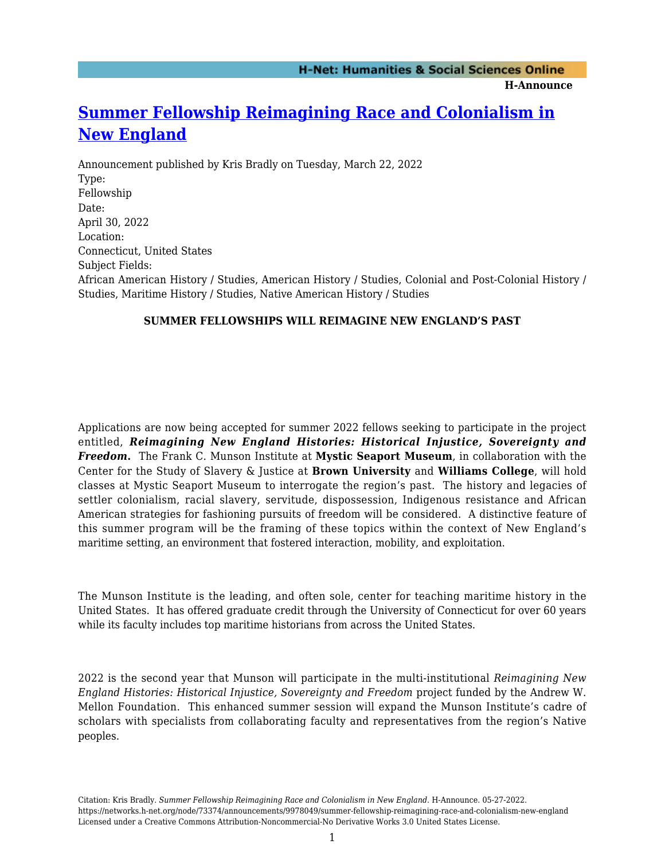**H-Announce** 

## **[Summer Fellowship Reimagining Race and Colonialism in](https://networks.h-net.org/node/73374/announcements/9978049/summer-fellowship-reimagining-race-and-colonialism-new-england) [New England](https://networks.h-net.org/node/73374/announcements/9978049/summer-fellowship-reimagining-race-and-colonialism-new-england)**

Announcement published by Kris Bradly on Tuesday, March 22, 2022 Type: Fellowship Date: April 30, 2022 Location: Connecticut, United States Subject Fields: African American History / Studies, American History / Studies, Colonial and Post-Colonial History / Studies, Maritime History / Studies, Native American History / Studies

## **SUMMER FELLOWSHIPS WILL REIMAGINE NEW ENGLAND'S PAST**

Applications are now being accepted for summer 2022 fellows seeking to participate in the project entitled, *Reimagining New England Histories: Historical Injustice, Sovereignty and Freedom***.** The Frank C. Munson Institute at **Mystic Seaport Museum**, in collaboration with the Center for the Study of Slavery & Justice at **Brown University** and **Williams College**, will hold classes at Mystic Seaport Museum to interrogate the region's past. The history and legacies of settler colonialism, racial slavery, servitude, dispossession, Indigenous resistance and African American strategies for fashioning pursuits of freedom will be considered. A distinctive feature of this summer program will be the framing of these topics within the context of New England's maritime setting, an environment that fostered interaction, mobility, and exploitation.

The Munson Institute is the leading, and often sole, center for teaching maritime history in the United States. It has offered graduate credit through the University of Connecticut for over 60 years while its faculty includes top maritime historians from across the United States.

2022 is the second year that Munson will participate in the multi-institutional *Reimagining New England Histories: Historical Injustice, Sovereignty and Freedom* project funded by the Andrew W. Mellon Foundation. This enhanced summer session will expand the Munson Institute's cadre of scholars with specialists from collaborating faculty and representatives from the region's Native peoples.

Citation: Kris Bradly. *Summer Fellowship Reimagining Race and Colonialism in New England*. H-Announce. 05-27-2022. https://networks.h-net.org/node/73374/announcements/9978049/summer-fellowship-reimagining-race-and-colonialism-new-england Licensed under a Creative Commons Attribution-Noncommercial-No Derivative Works 3.0 United States License.